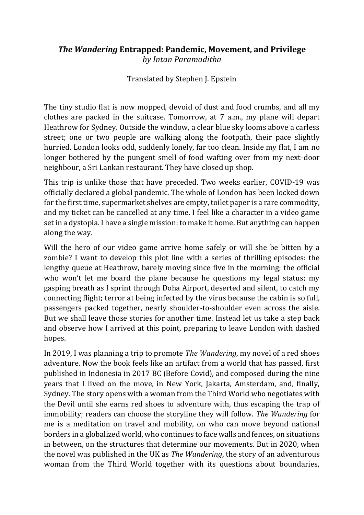## *The Wandering* **Entrapped: Pandemic, Movement, and Privilege** *by Intan Paramaditha*

Translated by Stephen J. Epstein

The tiny studio flat is now mopped, devoid of dust and food crumbs, and all my clothes are packed in the suitcase. Tomorrow, at 7 a.m., my plane will depart Heathrow for Sydney. Outside the window, a clear blue sky looms above a carless street; one or two people are walking along the footpath, their pace slightly hurried. London looks odd, suddenly lonely, far too clean. Inside my flat, I am no longer bothered by the pungent smell of food wafting over from my next-door neighbour, a Sri Lankan restaurant. They have closed up shop.

This trip is unlike those that have preceded. Two weeks earlier, COVID-19 was officially declared a global pandemic. The whole of London has been locked down for the first time, supermarket shelves are empty, toilet paper is a rare commodity, and my ticket can be cancelled at any time. I feel like a character in a video game set in a dystopia. I have a single mission: to make it home. But anything can happen along the way.

Will the hero of our video game arrive home safely or will she be bitten by a zombie? I want to develop this plot line with a series of thrilling episodes: the lengthy queue at Heathrow, barely moving since five in the morning; the official who won't let me board the plane because he questions my legal status; my gasping breath as I sprint through Doha Airport, deserted and silent, to catch my connecting flight; terror at being infected by the virus because the cabin is so full, passengers packed together, nearly shoulder-to-shoulder even across the aisle. But we shall leave those stories for another time. Instead let us take a step back and observe how I arrived at this point, preparing to leave London with dashed hopes.

In 2019, I was planning a trip to promote *The Wandering*, my novel of a red shoes adventure. Now the book feels like an artifact from a world that has passed, first published in Indonesia in 2017 BC (Before Covid), and composed during the nine years that I lived on the move, in New York, Jakarta, Amsterdam, and, finally, Sydney. The story opens with a woman from the Third World who negotiates with the Devil until she earns red shoes to adventure with, thus escaping the trap of immobility; readers can choose the storyline they will follow. *The Wandering* for me is a meditation on travel and mobility, on who can move beyond national borders in a globalized world, who continues to face walls and fences, on situations in between, on the structures that determine our movements. But in 2020, when the novel was published in the UK as *The Wandering*, the story of an adventurous woman from the Third World together with its questions about boundaries,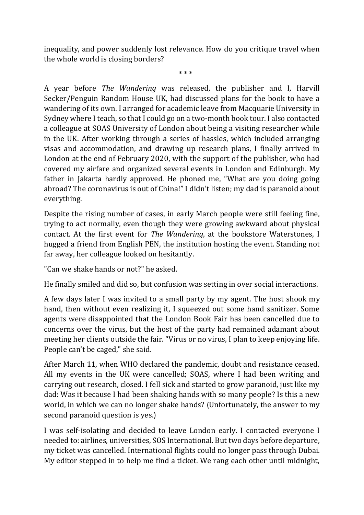inequality, and power suddenly lost relevance. How do you critique travel when the whole world is closing borders?

\* \* \*

A year before *The Wandering* was released, the publisher and I, Harvill Secker/Penguin Random House UK, had discussed plans for the book to have a wandering of its own. I arranged for academic leave from Macquarie University in Sydney where I teach, so that I could go on a two-month book tour. I also contacted a colleague at SOAS University of London about being a visiting researcher while in the UK. After working through a series of hassles, which included arranging visas and accommodation, and drawing up research plans, I finally arrived in London at the end of February 2020, with the support of the publisher, who had covered my airfare and organized several events in London and Edinburgh. My father in Jakarta hardly approved. He phoned me, "What are you doing going abroad? The coronavirus is out of China!" I didn't listen; my dad is paranoid about everything.

Despite the rising number of cases, in early March people were still feeling fine, trying to act normally, even though they were growing awkward about physical contact. At the first event for *The Wandering*, at the bookstore Waterstones, I hugged a friend from English PEN, the institution hosting the event. Standing not far away, her colleague looked on hesitantly.

"Can we shake hands or not?" he asked.

He finally smiled and did so, but confusion was setting in over social interactions.

A few days later I was invited to a small party by my agent. The host shook my hand, then without even realizing it, I squeezed out some hand sanitizer. Some agents were disappointed that the London Book Fair has been cancelled due to concerns over the virus, but the host of the party had remained adamant about meeting her clients outside the fair. "Virus or no virus, I plan to keep enjoying life. People can't be caged," she said.

After March 11, when WHO declared the pandemic, doubt and resistance ceased. All my events in the UK were cancelled; SOAS, where I had been writing and carrying out research, closed. I fell sick and started to grow paranoid, just like my dad: Was it because I had been shaking hands with so many people? Is this a new world, in which we can no longer shake hands? (Unfortunately, the answer to my second paranoid question is yes.)

I was self-isolating and decided to leave London early. I contacted everyone I needed to: airlines, universities, SOS International. But two days before departure, my ticket was cancelled. International flights could no longer pass through Dubai. My editor stepped in to help me find a ticket. We rang each other until midnight,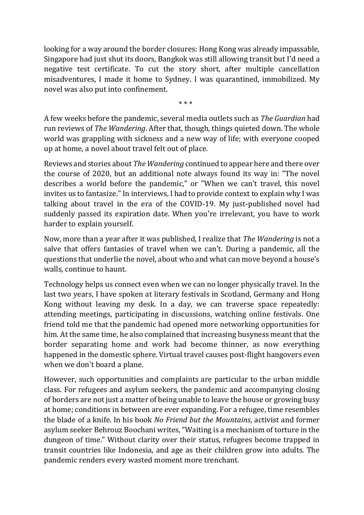looking for a way around the border closures: Hong Kong was already impassable, Singapore had just shut its doors, Bangkok was still allowing transit but I'd need a negative test certificate. To cut the story short, after multiple cancellation misadventures, I made it home to Sydney. I was quarantined, immobilized. My novel was also put into confinement.

\* \* \*

A few weeks before the pandemic, several media outlets such as *The Guardian* had run reviews of *The Wandering*. After that, though, things quieted down. The whole world was grappling with sickness and a new way of life; with everyone cooped up at home, a novel about travel felt out of place.

Reviews and stories about *The Wandering* continued to appear here and there over the course of 2020, but an additional note always found its way in: "The novel describes a world before the pandemic," or "When we can't travel, this novel invites us to fantasize." In interviews, I had to provide context to explain why I was talking about travel in the era of the COVID-19. My just-published novel had suddenly passed its expiration date. When you're irrelevant, you have to work harder to explain yourself.

Now, more than a year after it was published, I realize that *The Wandering* is not a salve that offers fantasies of travel when we can't. During a pandemic, all the questions that underlie the novel, about who and what can move beyond a house's walls, continue to haunt.

Technology helps us connect even when we can no longer physically travel. In the last two years, I have spoken at literary festivals in Scotland, Germany and Hong Kong without leaving my desk. In a day, we can traverse space repeatedly: attending meetings, participating in discussions, watching online festivals. One friend told me that the pandemic had opened more networking opportunities for him. At the same time, he also complained that increasing busyness meant that the border separating home and work had become thinner, as now everything happened in the domestic sphere. Virtual travel causes post-flight hangovers even when we don't board a plane.

However, such opportunities and complaints are particular to the urban middle class. For refugees and asylum seekers, the pandemic and accompanying closing of borders are not just a matter of being unable to leave the house or growing busy at home; conditions in between are ever expanding. For a refugee, time resembles the blade of a knife. In his book *No Friend but the Mountains*, activist and former asylum seeker Behrouz Boochani writes, "Waiting is a mechanism of torture in the dungeon of time." Without clarity over their status, refugees become trapped in transit countries like Indonesia, and age as their children grow into adults. The pandemic renders every wasted moment more trenchant.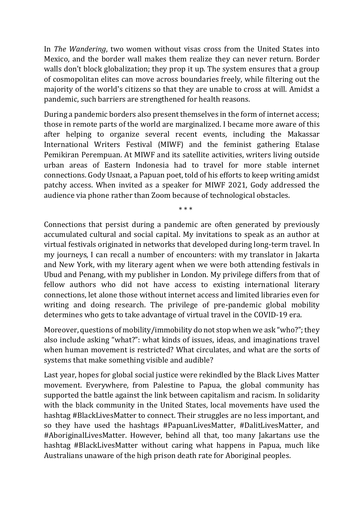In *The Wandering*, two women without visas cross from the United States into Mexico, and the border wall makes them realize they can never return. Border walls don't block globalization; they prop it up. The system ensures that a group of cosmopolitan elites can move across boundaries freely, while filtering out the majority of the world's citizens so that they are unable to cross at will. Amidst a pandemic, such barriers are strengthened for health reasons.

During a pandemic borders also present themselves in the form of internet access; those in remote parts of the world are marginalized. I became more aware of this after helping to organize several recent events, including the Makassar International Writers Festival (MIWF) and the feminist gathering Etalase Pemikiran Perempuan. At MIWF and its satellite activities, writers living outside urban areas of Eastern Indonesia had to travel for more stable internet connections. Gody Usnaat, a Papuan poet, told of his efforts to keep writing amidst patchy access. When invited as a speaker for MIWF 2021, Gody addressed the audience via phone rather than Zoom because of technological obstacles.

\* \* \*

Connections that persist during a pandemic are often generated by previously accumulated cultural and social capital. My invitations to speak as an author at virtual festivals originated in networks that developed during long-term travel. In my journeys, I can recall a number of encounters: with my translator in Jakarta and New York, with my literary agent when we were both attending festivals in Ubud and Penang, with my publisher in London. My privilege differs from that of fellow authors who did not have access to existing international literary connections, let alone those without internet access and limited libraries even for writing and doing research. The privilege of pre-pandemic global mobility determines who gets to take advantage of virtual travel in the COVID-19 era.

Moreover, questions of mobility/immobility do not stop when we ask "who?"; they also include asking "what?": what kinds of issues, ideas, and imaginations travel when human movement is restricted? What circulates, and what are the sorts of systems that make something visible and audible?

Last year, hopes for global social justice were rekindled by the Black Lives Matter movement. Everywhere, from Palestine to Papua, the global community has supported the battle against the link between capitalism and racism. In solidarity with the black community in the United States, local movements have used the hashtag #BlackLivesMatter to connect. Their struggles are no less important, and so they have used the hashtags #PapuanLivesMatter, #DalitLivesMatter, and #AboriginalLivesMatter. However, behind all that, too many Jakartans use the hashtag #BlackLivesMatter without caring what happens in Papua, much like Australians unaware of the high prison death rate for Aboriginal peoples.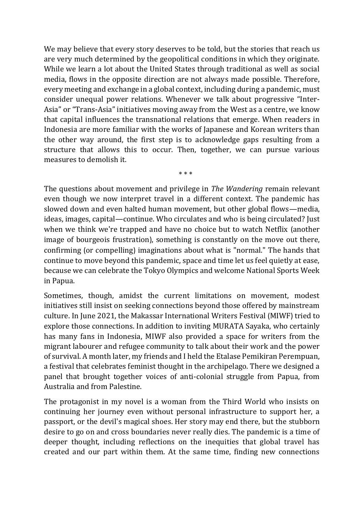We may believe that every story deserves to be told, but the stories that reach us are very much determined by the geopolitical conditions in which they originate. While we learn a lot about the United States through traditional as well as social media, flows in the opposite direction are not always made possible. Therefore, every meeting and exchange in a global context, including during a pandemic, must consider unequal power relations. Whenever we talk about progressive "Inter-Asia" or "Trans-Asia" initiatives moving away from the West as a centre, we know that capital influences the transnational relations that emerge. When readers in Indonesia are more familiar with the works of Japanese and Korean writers than the other way around, the first step is to acknowledge gaps resulting from a structure that allows this to occur. Then, together, we can pursue various measures to demolish it.

The questions about movement and privilege in *The Wandering* remain relevant even though we now interpret travel in a different context. The pandemic has slowed down and even halted human movement, but other global flows—media, ideas, images, capital—continue. Who circulates and who is being circulated? Just when we think we're trapped and have no choice but to watch Netflix (another image of bourgeois frustration), something is constantly on the move out there, confirming (or compelling) imaginations about what is "normal." The hands that continue to move beyond this pandemic, space and time let us feel quietly at ease, because we can celebrate the Tokyo Olympics and welcome National Sports Week in Papua.

\* \* \*

Sometimes, though, amidst the current limitations on movement, modest initiatives still insist on seeking connections beyond those offered by mainstream culture. In June 2021, the Makassar International Writers Festival (MIWF) tried to explore those connections. In addition to inviting MURATA Sayaka, who certainly has many fans in Indonesia, MIWF also provided a space for writers from the migrant labourer and refugee community to talk about their work and the power of survival. A month later, my friends and I held the Etalase Pemikiran Perempuan, a festival that celebrates feminist thought in the archipelago. There we designed a panel that brought together voices of anti-colonial struggle from Papua, from Australia and from Palestine.

The protagonist in my novel is a woman from the Third World who insists on continuing her journey even without personal infrastructure to support her, a passport, or the devil's magical shoes. Her story may end there, but the stubborn desire to go on and cross boundaries never really dies. The pandemic is a time of deeper thought, including reflections on the inequities that global travel has created and our part within them. At the same time, finding new connections